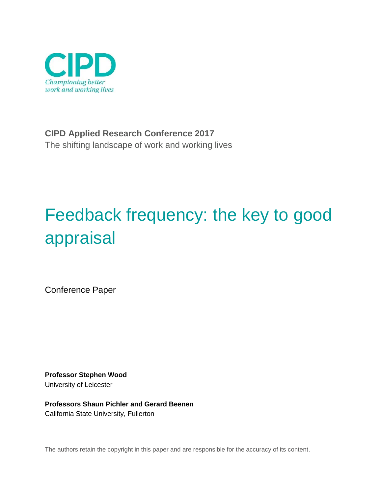

**CIPD Applied Research Conference 2017** The shifting landscape of work and working lives

# Feedback frequency: the key to good appraisal

Conference Paper

**Professor Stephen Wood** University of Leicester

**Professors Shaun Pichler and Gerard Beenen** California State University, Fullerton

The authors retain the copyright in this paper and are responsible for the accuracy of its content.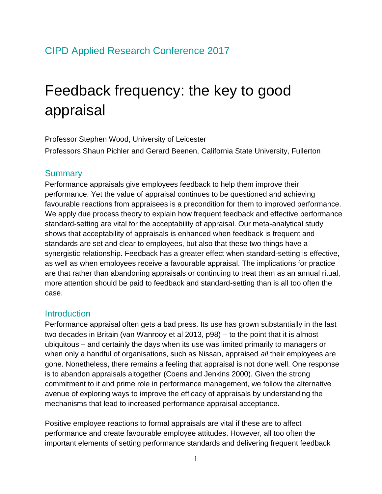# Feedback frequency: the key to good appraisal

Professor Stephen Wood, University of Leicester

Professors Shaun Pichler and Gerard Beenen, California State University, Fullerton

### **Summary**

Performance appraisals give employees feedback to help them improve their performance. Yet the value of appraisal continues to be questioned and achieving favourable reactions from appraisees is a precondition for them to improved performance. We apply due process theory to explain how frequent feedback and effective performance standard-setting are vital for the acceptability of appraisal. Our meta-analytical study shows that acceptability of appraisals is enhanced when feedback is frequent and standards are set and clear to employees, but also that these two things have a synergistic relationship. Feedback has a greater effect when standard-setting is effective, as well as when employees receive a favourable appraisal. The implications for practice are that rather than abandoning appraisals or continuing to treat them as an annual ritual, more attention should be paid to feedback and standard-setting than is all too often the case.

### **Introduction**

Performance appraisal often gets a bad press. Its use has grown substantially in the last two decades in Britain (van Wanrooy et al 2013, p98) – to the point that it is almost ubiquitous – and certainly the days when its use was limited primarily to managers or when only a handful of organisations, such as Nissan, appraised *all* their employees are gone. Nonetheless, there remains a feeling that appraisal is not done well. One response is to abandon appraisals altogether (Coens and Jenkins 2000). Given the strong commitment to it and prime role in performance management, we follow the alternative avenue of exploring ways to improve the efficacy of appraisals by understanding the mechanisms that lead to increased performance appraisal acceptance.

Positive employee reactions to formal appraisals are vital if these are to affect performance and create favourable employee attitudes. However, all too often the important elements of setting performance standards and delivering frequent feedback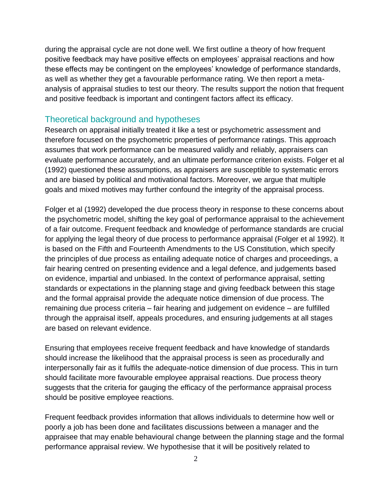during the appraisal cycle are not done well. We first outline a theory of how frequent positive feedback may have positive effects on employees' appraisal reactions and how these effects may be contingent on the employees' knowledge of performance standards, as well as whether they get a favourable performance rating. We then report a metaanalysis of appraisal studies to test our theory. The results support the notion that frequent and positive feedback is important and contingent factors affect its efficacy.

# Theoretical background and hypotheses

Research on appraisal initially treated it like a test or psychometric assessment and therefore focused on the psychometric properties of performance ratings. This approach assumes that work performance can be measured validly and reliably, appraisers can evaluate performance accurately, and an ultimate performance criterion exists. Folger et al (1992) questioned these assumptions, as appraisers are susceptible to systematic errors and are biased by political and motivational factors. Moreover, we argue that multiple goals and mixed motives may further confound the integrity of the appraisal process.

Folger et al (1992) developed the due process theory in response to these concerns about the psychometric model, shifting the key goal of performance appraisal to the achievement of a fair outcome. Frequent feedback and knowledge of performance standards are crucial for applying the legal theory of due process to performance appraisal (Folger et al 1992). It is based on the Fifth and Fourteenth Amendments to the US Constitution, which specify the principles of due process as entailing adequate notice of charges and proceedings, a fair hearing centred on presenting evidence and a legal defence, and judgements based on evidence, impartial and unbiased. In the context of performance appraisal, setting standards or expectations in the planning stage and giving feedback between this stage and the formal appraisal provide the adequate notice dimension of due process. The remaining due process criteria – fair hearing and judgement on evidence – are fulfilled through the appraisal itself, appeals procedures, and ensuring judgements at all stages are based on relevant evidence.

Ensuring that employees receive frequent feedback and have knowledge of standards should increase the likelihood that the appraisal process is seen as procedurally and interpersonally fair as it fulfils the adequate-notice dimension of due process. This in turn should facilitate more favourable employee appraisal reactions. Due process theory suggests that the criteria for gauging the efficacy of the performance appraisal process should be positive employee reactions.

Frequent feedback provides information that allows individuals to determine how well or poorly a job has been done and facilitates discussions between a manager and the appraisee that may enable behavioural change between the planning stage and the formal performance appraisal review. We hypothesise that it will be positively related to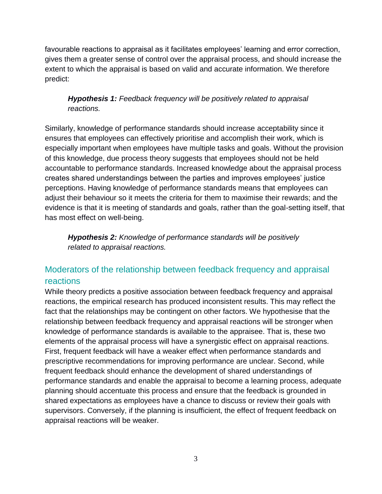favourable reactions to appraisal as it facilitates employees' learning and error correction, gives them a greater sense of control over the appraisal process, and should increase the extent to which the appraisal is based on valid and accurate information. We therefore predict:

# *Hypothesis 1: Feedback frequency will be positively related to appraisal reactions.*

Similarly, knowledge of performance standards should increase acceptability since it ensures that employees can effectively prioritise and accomplish their work, which is especially important when employees have multiple tasks and goals. Without the provision of this knowledge, due process theory suggests that employees should not be held accountable to performance standards. Increased knowledge about the appraisal process creates shared understandings between the parties and improves employees' justice perceptions. Having knowledge of performance standards means that employees can adjust their behaviour so it meets the criteria for them to maximise their rewards; and the evidence is that it is meeting of standards and goals, rather than the goal-setting itself, that has most effect on well-being.

*Hypothesis 2: Knowledge of performance standards will be positively related to appraisal reactions.* 

# Moderators of the relationship between feedback frequency and appraisal reactions

While theory predicts a positive association between feedback frequency and appraisal reactions, the empirical research has produced inconsistent results. This may reflect the fact that the relationships may be contingent on other factors. We hypothesise that the relationship between feedback frequency and appraisal reactions will be stronger when knowledge of performance standards is available to the appraisee. That is, these two elements of the appraisal process will have a synergistic effect on appraisal reactions. First, frequent feedback will have a weaker effect when performance standards and prescriptive recommendations for improving performance are unclear. Second, while frequent feedback should enhance the development of shared understandings of performance standards and enable the appraisal to become a learning process, adequate planning should accentuate this process and ensure that the feedback is grounded in shared expectations as employees have a chance to discuss or review their goals with supervisors. Conversely, if the planning is insufficient, the effect of frequent feedback on appraisal reactions will be weaker.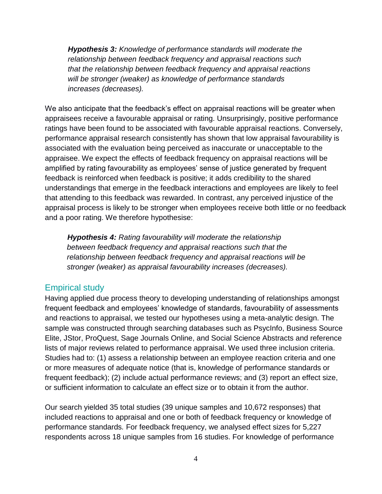*Hypothesis 3: Knowledge of performance standards will moderate the relationship between feedback frequency and appraisal reactions such that the relationship between feedback frequency and appraisal reactions will be stronger (weaker) as knowledge of performance standards increases (decreases).* 

We also anticipate that the feedback's effect on appraisal reactions will be greater when appraisees receive a favourable appraisal or rating. Unsurprisingly, positive performance ratings have been found to be associated with favourable appraisal reactions. Conversely, performance appraisal research consistently has shown that low appraisal favourability is associated with the evaluation being perceived as inaccurate or unacceptable to the appraisee. We expect the effects of feedback frequency on appraisal reactions will be amplified by rating favourability as employees' sense of justice generated by frequent feedback is reinforced when feedback is positive; it adds credibility to the shared understandings that emerge in the feedback interactions and employees are likely to feel that attending to this feedback was rewarded. In contrast, any perceived injustice of the appraisal process is likely to be stronger when employees receive both little or no feedback and a poor rating. We therefore hypothesise:

*Hypothesis 4: Rating favourability will moderate the relationship between feedback frequency and appraisal reactions such that the relationship between feedback frequency and appraisal reactions will be stronger (weaker) as appraisal favourability increases (decreases).*

# Empirical study

Having applied due process theory to developing understanding of relationships amongst frequent feedback and employees' knowledge of standards, favourability of assessments and reactions to appraisal, we tested our hypotheses using a meta-analytic design. The sample was constructed through searching databases such as PsycInfo, Business Source Elite, JStor, ProQuest, Sage Journals Online, and Social Science Abstracts and reference lists of major reviews related to performance appraisal. We used three inclusion criteria. Studies had to: (1) assess a relationship between an employee reaction criteria and one or more measures of adequate notice (that is, knowledge of performance standards or frequent feedback); (2) include actual performance reviews; and (3) report an effect size, or sufficient information to calculate an effect size or to obtain it from the author.

Our search yielded 35 total studies (39 unique samples and 10,672 responses) that included reactions to appraisal and one or both of feedback frequency or knowledge of performance standards*.* For feedback frequency, we analysed effect sizes for 5,227 respondents across 18 unique samples from 16 studies. For knowledge of performance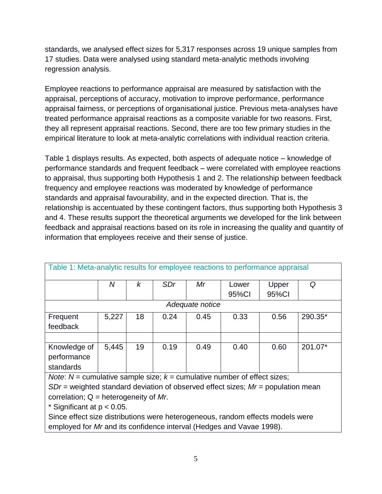standards, we analysed effect sizes for 5,317 responses across 19 unique samples from 17 studies. Data were analysed using standard meta-analytic methods involving regression analysis.

Employee reactions to performance appraisal are measured by satisfaction with the appraisal, perceptions of accuracy, motivation to improve performance, performance appraisal fairness, or perceptions of organisational justice. Previous meta-analyses have treated performance appraisal reactions as a composite variable for two reasons. First, they all represent appraisal reactions. Second, there are too few primary studies in the empirical literature to look at meta-analytic correlations with individual reaction criteria.

Table 1 displays results. As expected, both aspects of adequate notice – knowledge of performance standards and frequent feedback – were correlated with employee reactions to appraisal, thus supporting both Hypothesis 1 and 2. The relationship between feedback frequency and employee reactions was moderated by knowledge of performance standards and appraisal favourability, and in the expected direction. That is, the relationship is accentuated by these contingent factors, thus supporting both Hypothesis 3 and 4. These results support the theoretical arguments we developed for the link between feedback and appraisal reactions based on its role in increasing the quality and quantity of information that employees receive and their sense of justice.

| Table 1: Meta-analytic results for employee reactions to performance appraisal                                                                                                                                                         |       |    |            |      |       |       |         |
|----------------------------------------------------------------------------------------------------------------------------------------------------------------------------------------------------------------------------------------|-------|----|------------|------|-------|-------|---------|
|                                                                                                                                                                                                                                        | Ν     | k  | <b>SDr</b> | Mr   | Lower | Upper | Q       |
|                                                                                                                                                                                                                                        |       |    |            |      | 95%CI | 95%Cl |         |
| Adequate notice                                                                                                                                                                                                                        |       |    |            |      |       |       |         |
| Frequent                                                                                                                                                                                                                               | 5,227 | 18 | 0.24       | 0.45 | 0.33  | 0.56  | 290.35* |
| feedback                                                                                                                                                                                                                               |       |    |            |      |       |       |         |
|                                                                                                                                                                                                                                        |       |    |            |      |       |       |         |
| Knowledge of                                                                                                                                                                                                                           | 5,445 | 19 | 0.19       | 0.49 | 0.40  | 0.60  | 201.07* |
| performance                                                                                                                                                                                                                            |       |    |            |      |       |       |         |
| standards                                                                                                                                                                                                                              |       |    |            |      |       |       |         |
| $M_{\rm{tot}}$ and $M_{\rm{tot}}$ are the distribution of the state of the state of the state of the state of the state of the state of the state of the state of the state of the state of the state of the state of the state of the |       |    |            |      |       |       |         |

*Note:*  $N =$  cumulative sample size;  $k =$  cumulative number of effect sizes;

*SDr* = weighted standard deviation of observed effect sizes; *Mr* = population mean correlation; Q = heterogeneity of *Mr*.

\* Significant at p < 0.05.

Since effect size distributions were heterogeneous, random effects models were employed for *Mr* and its confidence interval (Hedges and Vavae 1998).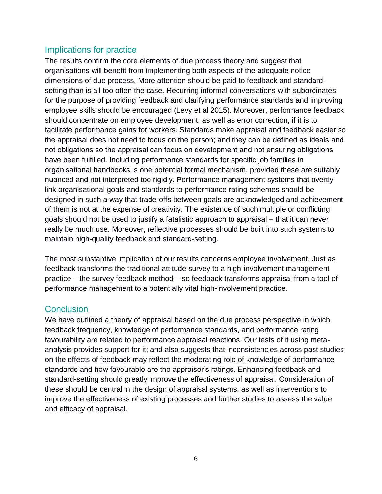# Implications for practice

The results confirm the core elements of due process theory and suggest that organisations will benefit from implementing both aspects of the adequate notice dimensions of due process. More attention should be paid to feedback and standardsetting than is all too often the case. Recurring informal conversations with subordinates for the purpose of providing feedback and clarifying performance standards and improving employee skills should be encouraged (Levy et al 2015). Moreover, performance feedback should concentrate on employee development, as well as error correction, if it is to facilitate performance gains for workers. Standards make appraisal and feedback easier so the appraisal does not need to focus on the person; and they can be defined as ideals and not obligations so the appraisal can focus on development and not ensuring obligations have been fulfilled. Including performance standards for specific job families in organisational handbooks is one potential formal mechanism, provided these are suitably nuanced and not interpreted too rigidly. Performance management systems that overtly link organisational goals and standards to performance rating schemes should be designed in such a way that trade-offs between goals are acknowledged and achievement of them is not at the expense of creativity. The existence of such multiple or conflicting goals should not be used to justify a fatalistic approach to appraisal – that it can never really be much use. Moreover, reflective processes should be built into such systems to maintain high-quality feedback and standard-setting.

The most substantive implication of our results concerns employee involvement. Just as feedback transforms the traditional attitude survey to a high-involvement management practice – the survey feedback method – so feedback transforms appraisal from a tool of performance management to a potentially vital high-involvement practice.

# **Conclusion**

We have outlined a theory of appraisal based on the due process perspective in which feedback frequency, knowledge of performance standards, and performance rating favourability are related to performance appraisal reactions. Our tests of it using metaanalysis provides support for it; and also suggests that inconsistencies across past studies on the effects of feedback may reflect the moderating role of knowledge of performance standards and how favourable are the appraiser's ratings. Enhancing feedback and standard-setting should greatly improve the effectiveness of appraisal. Consideration of these should be central in the design of appraisal systems, as well as interventions to improve the effectiveness of existing processes and further studies to assess the value and efficacy of appraisal.